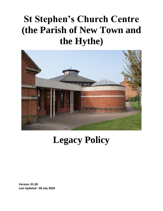## **St Stephen's Church Centre (the Parish of New Town and the Hythe)**



## **Legacy Policy**

**Version: 01.00 Last Updated : 06 July 2020**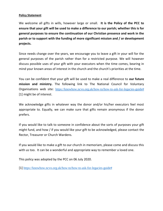## **Policy Statement**

We welcome all gifts in wills, however large or small. **It is the Policy of the PCC to ensure that your gift will be used to make a difference to our parish; whether this is for general purposes to ensure the continuation of our Christian presence and work in the parish or to support with the funding of more significant mission and / or development projects.**

Since needs change over the years, we encourage you to leave a gift in your will for the general purposes of the parish rather than for a restricted purpose. We will however discuss possible uses of your gift with your executors when the time comes, bearing in mind your known areas of interest in the church and the church's priorities at the time.

You can be confident that your gift will be used to make a real difference to **our future mission and ministry.** The following link to The National Council for Voluntary Organisations web site: [https://knowhow.ncvo.org.uk/how-to/how-to-ask-for-legacies-guide#](https://knowhow.ncvo.org.uk/how-to/how-to-ask-for-legacies-guide) [1] might be of interest.

We acknowledge gifts in whatever way the donor and/or his/her executors feel most appropriate to. Equally, we can make sure that gifts remain anonymous if the donor prefers.

If you would like to talk to someone in confidence about the sorts of purposes your gift might fund, and how / if you would like your gift to be acknowledged, please contact the Rector, Treasurer or Church Wardens.

If you would like to make a gift to our church in memoriam, please come and discuss this with us too. It can be a wonderful and appropriate way to remember a loved one.

This policy was adopted by the PCC on 06 July 2020.

[1] [https://knowhow.ncvo.org.uk/how-to/how-to-ask-for-legacies-guide#](https://knowhow.ncvo.org.uk/how-to/how-to-ask-for-legacies-guide)